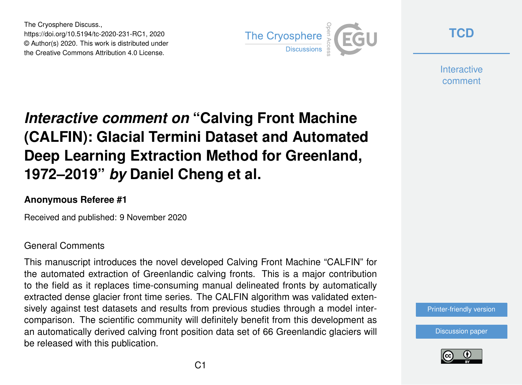The Cryosphere Discuss., https://doi.org/10.5194/tc-2020-231-RC1, 2020 © Author(s) 2020. This work is distributed under the Creative Commons Attribution 4.0 License.



**[TCD](https://tc.copernicus.org/preprints/)**

**Interactive** comment

# *Interactive comment on* **"Calving Front Machine (CALFIN): Glacial Termini Dataset and Automated Deep Learning Extraction Method for Greenland, 1972–2019"** *by* **Daniel Cheng et al.**

#### **Anonymous Referee #1**

Received and published: 9 November 2020

#### General Comments

This manuscript introduces the novel developed Calving Front Machine "CALFIN" for the automated extraction of Greenlandic calving fronts. This is a major contribution to the field as it replaces time-consuming manual delineated fronts by automatically extracted dense glacier front time series. The CALFIN algorithm was validated extensively against test datasets and results from previous studies through a model intercomparison. The scientific community will definitely benefit from this development as an automatically derived calving front position data set of 66 Greenlandic glaciers will be released with this publication.

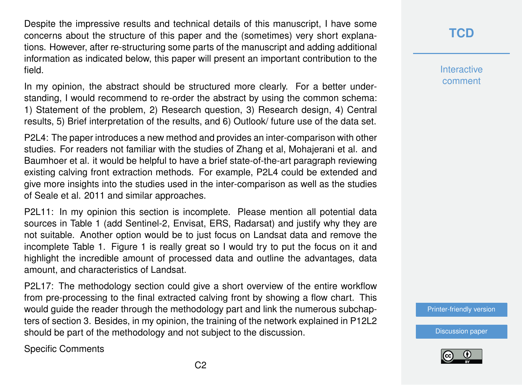Despite the impressive results and technical details of this manuscript, I have some concerns about the structure of this paper and the (sometimes) very short explanations. However, after re-structuring some parts of the manuscript and adding additional information as indicated below, this paper will present an important contribution to the field.

In my opinion, the abstract should be structured more clearly. For a better understanding, I would recommend to re-order the abstract by using the common schema: 1) Statement of the problem, 2) Research question, 3) Research design, 4) Central results, 5) Brief interpretation of the results, and 6) Outlook/ future use of the data set.

P2L4: The paper introduces a new method and provides an inter-comparison with other studies. For readers not familiar with the studies of Zhang et al, Mohajerani et al. and Baumhoer et al. it would be helpful to have a brief state-of-the-art paragraph reviewing existing calving front extraction methods. For example, P2L4 could be extended and give more insights into the studies used in the inter-comparison as well as the studies of Seale et al. 2011 and similar approaches.

P2L11: In my opinion this section is incomplete. Please mention all potential data sources in Table 1 (add Sentinel-2, Envisat, ERS, Radarsat) and justify why they are not suitable. Another option would be to just focus on Landsat data and remove the incomplete Table 1. Figure 1 is really great so I would try to put the focus on it and highlight the incredible amount of processed data and outline the advantages, data amount, and characteristics of Landsat.

P2L17: The methodology section could give a short overview of the entire workflow from pre-processing to the final extracted calving front by showing a flow chart. This would guide the reader through the methodology part and link the numerous subchapters of section 3. Besides, in my opinion, the training of the network explained in P12L2 should be part of the methodology and not subject to the discussion.

Specific Comments

### **[TCD](https://tc.copernicus.org/preprints/)**

**Interactive** comment

[Printer-friendly version](https://tc.copernicus.org/preprints/tc-2020-231/tc-2020-231-RC1-print.pdf)

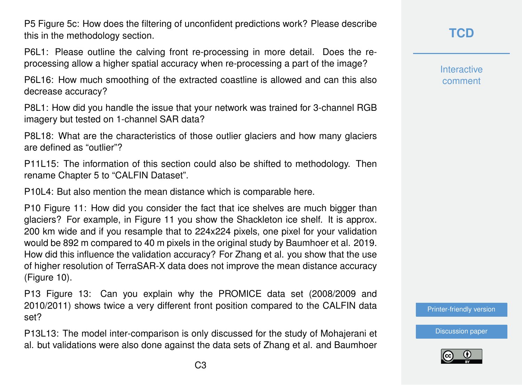P5 Figure 5c: How does the filtering of unconfident predictions work? Please describe this in the methodology section.

P6L1: Please outline the calving front re-processing in more detail. Does the reprocessing allow a higher spatial accuracy when re-processing a part of the image?

P6L16: How much smoothing of the extracted coastline is allowed and can this also decrease accuracy?

P8L1: How did you handle the issue that your network was trained for 3-channel RGB imagery but tested on 1-channel SAR data?

P8L18: What are the characteristics of those outlier glaciers and how many glaciers are defined as "outlier"?

P11L15: The information of this section could also be shifted to methodology. Then rename Chapter 5 to "CALFIN Dataset".

P10L4: But also mention the mean distance which is comparable here.

P10 Figure 11: How did you consider the fact that ice shelves are much bigger than glaciers? For example, in Figure 11 you show the Shackleton ice shelf. It is approx. 200 km wide and if you resample that to 224x224 pixels, one pixel for your validation would be 892 m compared to 40 m pixels in the original study by Baumhoer et al. 2019. How did this influence the validation accuracy? For Zhang et al. you show that the use of higher resolution of TerraSAR-X data does not improve the mean distance accuracy (Figure 10).

P13 Figure 13: Can you explain why the PROMICE data set (2008/2009 and 2010/2011) shows twice a very different front position compared to the CALFIN data set?

P13L13: The model inter-comparison is only discussed for the study of Mohajerani et al. but validations were also done against the data sets of Zhang et al. and Baumhoer

**[TCD](https://tc.copernicus.org/preprints/)**

**Interactive** comment

[Printer-friendly version](https://tc.copernicus.org/preprints/tc-2020-231/tc-2020-231-RC1-print.pdf)